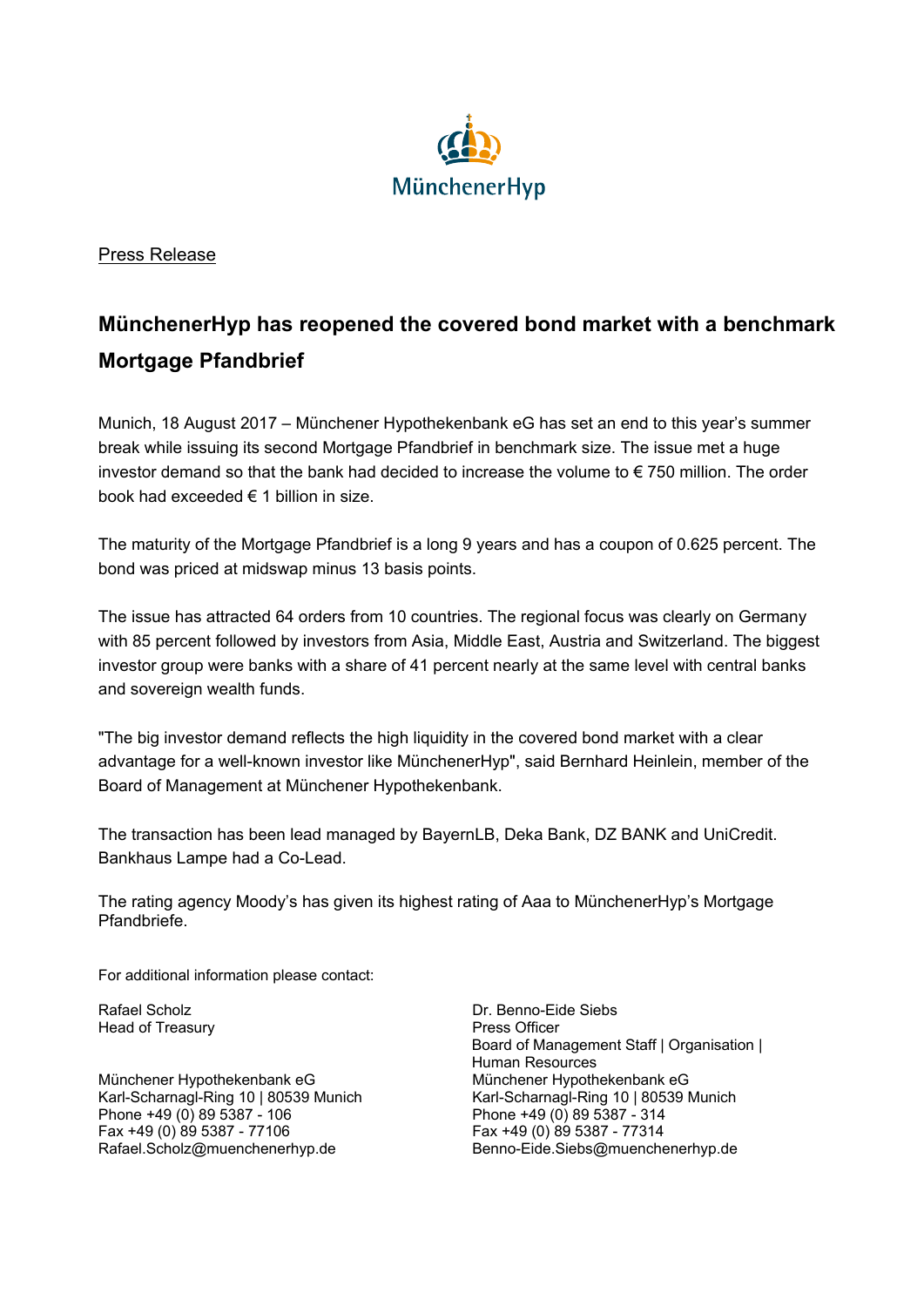

Press Release

## **MünchenerHyp has reopened the covered bond market with a benchmark Mortgage Pfandbrief**

Munich, 18 August 2017 – Münchener Hypothekenbank eG has set an end to this year's summer break while issuing its second Mortgage Pfandbrief in benchmark size. The issue met a huge investor demand so that the bank had decided to increase the volume to € 750 million. The order book had exceeded € 1 billion in size.

The maturity of the Mortgage Pfandbrief is a long 9 years and has a coupon of 0.625 percent. The bond was priced at midswap minus 13 basis points.

The issue has attracted 64 orders from 10 countries. The regional focus was clearly on Germany with 85 percent followed by investors from Asia, Middle East, Austria and Switzerland. The biggest investor group were banks with a share of 41 percent nearly at the same level with central banks and sovereign wealth funds.

"The big investor demand reflects the high liquidity in the covered bond market with a clear advantage for a well-known investor like MünchenerHyp", said Bernhard Heinlein, member of the Board of Management at Münchener Hypothekenbank.

The transaction has been lead managed by BayernLB, Deka Bank, DZ BANK and UniCredit. Bankhaus Lampe had a Co-Lead.

The rating agency Moody's has given its highest rating of Aaa to MünchenerHyp's Mortgage Pfandbriefe.

For additional information please contact:

Head of Treasury **Press Officer** 

Münchener Hypothekenbank eG Münchener Hypothekenbank eG Karl-Scharnagl-Ring 10 | 80539 Munich Karl-Scharnagl-Ring 10 | 80539 Munich Phone +49 (0) 89 5387 - 106 Phone +49 (0) 89 5387 - 314 Fax +49 (0) 89 5387 - 77106 Fax +49 (0) 89 5387 - 77314

Rafael Scholz **Dr. Benno-Eide Siebs** Board of Management Staff | Organisation | Human Resources Rafael.Scholz@muenchenerhyp.de Benno-Eide.Siebs@muenchenerhyp.de